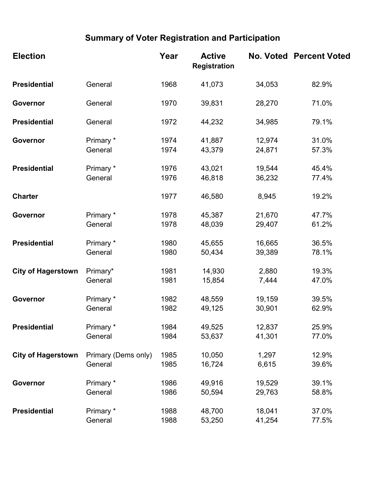## Summary of Voter Registration and Participation

| <b>Election</b>           |                     | Year | <b>Active</b><br><b>Registration</b> |        | <b>No. Voted Percent Voted</b> |
|---------------------------|---------------------|------|--------------------------------------|--------|--------------------------------|
| <b>Presidential</b>       | General             | 1968 | 41,073                               | 34,053 | 82.9%                          |
| Governor                  | General             | 1970 | 39,831                               | 28,270 | 71.0%                          |
| <b>Presidential</b>       | General             | 1972 | 44,232                               | 34,985 | 79.1%                          |
| Governor                  | Primary *           | 1974 | 41,887                               | 12,974 | 31.0%                          |
|                           | General             | 1974 | 43,379                               | 24,871 | 57.3%                          |
| <b>Presidential</b>       | Primary *           | 1976 | 43,021                               | 19,544 | 45.4%                          |
|                           | General             | 1976 | 46,818                               | 36,232 | 77.4%                          |
| <b>Charter</b>            |                     | 1977 | 46,580                               | 8,945  | 19.2%                          |
| Governor                  | Primary *           | 1978 | 45,387                               | 21,670 | 47.7%                          |
|                           | General             | 1978 | 48,039                               | 29,407 | 61.2%                          |
| <b>Presidential</b>       | Primary *           | 1980 | 45,655                               | 16,665 | 36.5%                          |
|                           | General             | 1980 | 50,434                               | 39,389 | 78.1%                          |
| <b>City of Hagerstown</b> | Primary*            | 1981 | 14,930                               | 2,880  | 19.3%                          |
|                           | General             | 1981 | 15,854                               | 7,444  | 47.0%                          |
| Governor                  | Primary *           | 1982 | 48,559                               | 19,159 | 39.5%                          |
|                           | General             | 1982 | 49,125                               | 30,901 | 62.9%                          |
| <b>Presidential</b>       | Primary *           | 1984 | 49,525                               | 12,837 | 25.9%                          |
|                           | General             | 1984 | 53,637                               | 41,301 | 77.0%                          |
| <b>City of Hagerstown</b> | Primary (Dems only) | 1985 | 10,050                               | 1,297  | 12.9%                          |
|                           | General             | 1985 | 16,724                               | 6,615  | 39.6%                          |
| Governor                  | Primary *           | 1986 | 49,916                               | 19,529 | 39.1%                          |
|                           | General             | 1986 | 50,594                               | 29,763 | 58.8%                          |
| <b>Presidential</b>       | Primary *           | 1988 | 48,700                               | 18,041 | 37.0%                          |
|                           | General             | 1988 | 53,250                               | 41,254 | 77.5%                          |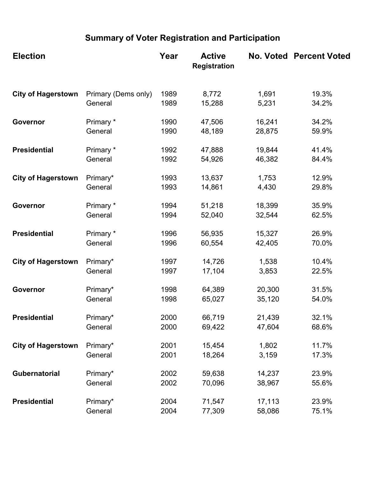## Summary of Voter Registration and Participation

| <b>Election</b>           |                                | Year         | <b>Active</b><br><b>Registration</b> |                | <b>No. Voted Percent Voted</b> |
|---------------------------|--------------------------------|--------------|--------------------------------------|----------------|--------------------------------|
| <b>City of Hagerstown</b> | Primary (Dems only)<br>General | 1989<br>1989 | 8,772                                | 1,691<br>5,231 | 19.3%<br>34.2%                 |
|                           |                                |              | 15,288                               |                |                                |
| Governor                  | Primary *                      | 1990         | 47,506                               | 16,241         | 34.2%                          |
|                           | General                        | 1990         | 48,189                               | 28,875         | 59.9%                          |
| <b>Presidential</b>       | Primary *                      | 1992         | 47,888                               | 19,844         | 41.4%                          |
|                           | General                        | 1992         | 54,926                               | 46,382         | 84.4%                          |
| <b>City of Hagerstown</b> | Primary*                       | 1993         | 13,637                               | 1,753          | 12.9%                          |
|                           | General                        | 1993         | 14,861                               | 4,430          | 29.8%                          |
| Governor                  | Primary *                      | 1994         | 51,218                               | 18,399         | 35.9%                          |
|                           | General                        | 1994         | 52,040                               | 32,544         | 62.5%                          |
| <b>Presidential</b>       | Primary *                      | 1996         | 56,935                               | 15,327         | 26.9%                          |
|                           | General                        | 1996         | 60,554                               | 42,405         | 70.0%                          |
| <b>City of Hagerstown</b> | Primary*                       | 1997         | 14,726                               | 1,538          | 10.4%                          |
|                           | General                        | 1997         | 17,104                               | 3,853          | 22.5%                          |
| Governor                  | Primary*                       | 1998         | 64,389                               | 20,300         | 31.5%                          |
|                           | General                        | 1998         | 65,027                               | 35,120         | 54.0%                          |
| <b>Presidential</b>       | Primary*                       | 2000         | 66,719                               | 21,439         | 32.1%                          |
|                           | General                        | 2000         | 69,422                               | 47,604         | 68.6%                          |
| <b>City of Hagerstown</b> | Primary*                       | 2001         | 15,454                               | 1,802          | 11.7%                          |
|                           | General                        | 2001         | 18,264                               | 3,159          | 17.3%                          |
| Gubernatorial             | Primary*                       | 2002         | 59,638                               | 14,237         | 23.9%                          |
|                           | General                        | 2002         | 70,096                               | 38,967         | 55.6%                          |
| <b>Presidential</b>       | Primary*                       | 2004         | 71,547                               | 17,113         | 23.9%                          |
|                           | General                        | 2004         | 77,309                               | 58,086         | 75.1%                          |